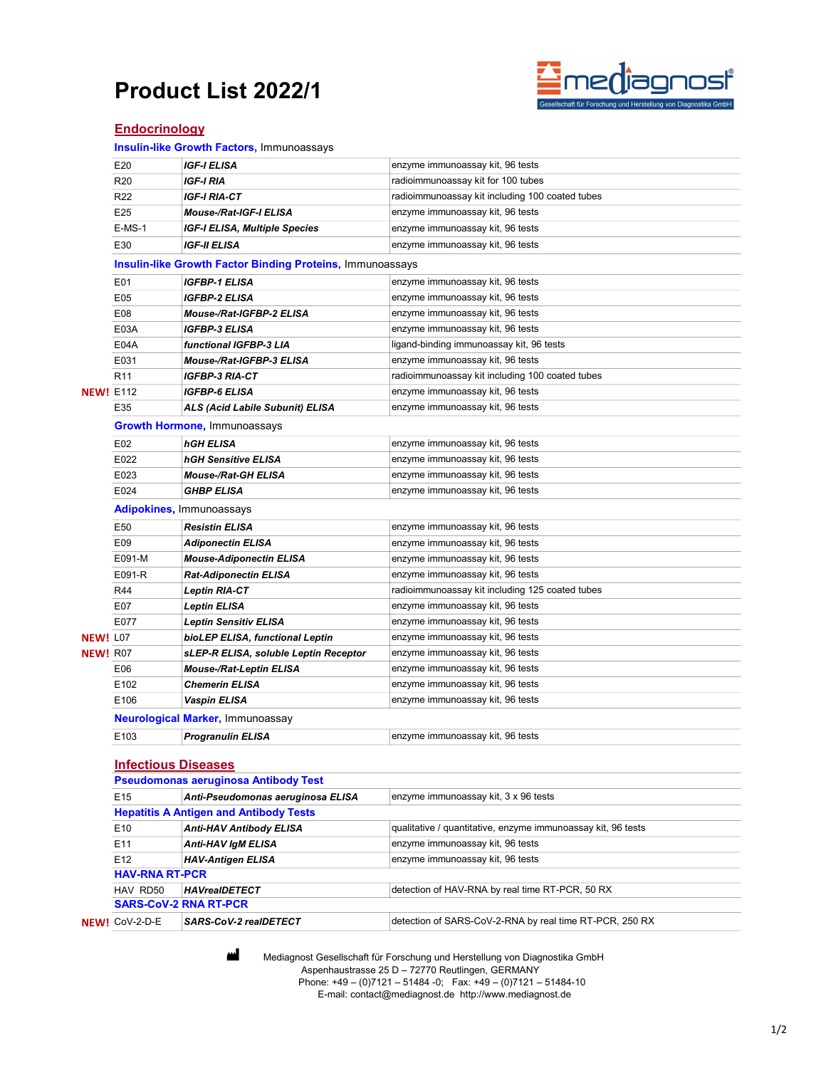# Product List 2022/1



## **Endocrinology**

Insulin-like Growth Factors, Immunoassays

|                  | E20                                           | <b>IGF-I ELISA</b>                                               | enzyme immunoassay kit, 96 tests                             |  |  |  |
|------------------|-----------------------------------------------|------------------------------------------------------------------|--------------------------------------------------------------|--|--|--|
|                  | R <sub>20</sub>                               | IGF-I RIA                                                        | radioimmunoassay kit for 100 tubes                           |  |  |  |
|                  | R <sub>22</sub>                               | IGF-I RIA-CT                                                     | radioimmunoassay kit including 100 coated tubes              |  |  |  |
|                  | E25                                           | Mouse-/Rat-IGF-I ELISA                                           | enzyme immunoassay kit, 96 tests                             |  |  |  |
|                  | $E-MS-1$                                      | IGF-I ELISA, Multiple Species                                    | enzyme immunoassay kit, 96 tests                             |  |  |  |
|                  | E30                                           | <b>IGF-II ELISA</b>                                              | enzyme immunoassay kit, 96 tests                             |  |  |  |
|                  |                                               | <b>Insulin-like Growth Factor Binding Proteins, Immunoassays</b> |                                                              |  |  |  |
|                  | E01                                           | <b>IGFBP-1 ELISA</b>                                             | enzyme immunoassay kit, 96 tests                             |  |  |  |
|                  | E05                                           | <b>IGFBP-2 ELISA</b>                                             | enzyme immunoassay kit, 96 tests                             |  |  |  |
|                  | E08                                           | Mouse-/Rat-IGFBP-2 ELISA                                         | enzyme immunoassay kit, 96 tests                             |  |  |  |
|                  | E03A                                          | <b>IGFBP-3 ELISA</b>                                             | enzyme immunoassay kit, 96 tests                             |  |  |  |
|                  | E04A                                          | functional IGFBP-3 LIA                                           | ligand-binding immunoassay kit, 96 tests                     |  |  |  |
|                  | E031                                          | Mouse-/Rat-IGFBP-3 ELISA                                         | enzyme immunoassay kit, 96 tests                             |  |  |  |
|                  | R <sub>11</sub>                               | IGFBP-3 RIA-CT                                                   | radioimmunoassay kit including 100 coated tubes              |  |  |  |
| <b>NEW! E112</b> |                                               | <b>IGFBP-6 ELISA</b>                                             | enzyme immunoassay kit, 96 tests                             |  |  |  |
|                  | E35                                           | ALS (Acid Labile Subunit) ELISA                                  | enzyme immunoassay kit, 96 tests                             |  |  |  |
|                  |                                               | <b>Growth Hormone, Immunoassays</b>                              |                                                              |  |  |  |
|                  | E02                                           | <b>hGH ELISA</b>                                                 | enzyme immunoassay kit, 96 tests                             |  |  |  |
|                  | E022                                          | hGH Sensitive ELISA                                              | enzyme immunoassay kit, 96 tests                             |  |  |  |
|                  | E023                                          | <b>Mouse-/Rat-GH ELISA</b>                                       | enzyme immunoassay kit, 96 tests                             |  |  |  |
|                  | E024                                          | <b>GHBP ELISA</b>                                                | enzyme immunoassay kit, 96 tests                             |  |  |  |
|                  | Adipokines, Immunoassays                      |                                                                  |                                                              |  |  |  |
|                  | E50                                           | <b>Resistin ELISA</b>                                            | enzyme immunoassay kit, 96 tests                             |  |  |  |
|                  | E09                                           | <b>Adiponectin ELISA</b>                                         | enzyme immunoassay kit, 96 tests                             |  |  |  |
|                  | E091-M                                        | <b>Mouse-Adiponectin ELISA</b>                                   | enzyme immunoassay kit, 96 tests                             |  |  |  |
|                  | E091-R                                        | Rat-Adiponectin ELISA                                            | enzyme immunoassay kit, 96 tests                             |  |  |  |
|                  | R44                                           | <b>Leptin RIA-CT</b>                                             | radioimmunoassay kit including 125 coated tubes              |  |  |  |
|                  | E07                                           | <b>Leptin ELISA</b>                                              | enzyme immunoassay kit, 96 tests                             |  |  |  |
|                  | E077                                          | <b>Leptin Sensitiv ELISA</b>                                     | enzyme immunoassay kit, 96 tests                             |  |  |  |
| <b>NEW!</b> L07  |                                               | bioLEP ELISA, functional Leptin                                  | enzyme immunoassay kit, 96 tests                             |  |  |  |
| <b>NEW!</b> R07  |                                               | sLEP-R ELISA, soluble Leptin Receptor                            | enzyme immunoassay kit, 96 tests                             |  |  |  |
|                  | E06                                           | <b>Mouse-/Rat-Leptin ELISA</b>                                   | enzyme immunoassay kit, 96 tests                             |  |  |  |
|                  | E102                                          | <b>Chemerin ELISA</b>                                            | enzyme immunoassay kit, 96 tests                             |  |  |  |
|                  | E106                                          | Vaspin ELISA                                                     | enzyme immunoassay kit, 96 tests                             |  |  |  |
|                  | <b>Neurological Marker, Immunoassay</b>       |                                                                  |                                                              |  |  |  |
|                  | E103                                          | <b>Progranulin ELISA</b>                                         | enzyme immunoassay kit, 96 tests                             |  |  |  |
|                  | <b>Infectious Diseases</b>                    |                                                                  |                                                              |  |  |  |
|                  | <b>Pseudomonas aeruginosa Antibody Test</b>   |                                                                  |                                                              |  |  |  |
|                  | E <sub>15</sub>                               | Anti-Pseudomonas aeruginosa ELISA                                | enzyme immunoassay kit, 3 x 96 tests                         |  |  |  |
|                  | <b>Hepatitis A Antigen and Antibody Tests</b> |                                                                  |                                                              |  |  |  |
|                  | E10                                           | <b>Anti-HAV Antibody ELISA</b>                                   | qualitative / quantitative, enzyme immunoassay kit, 96 tests |  |  |  |
|                  | E11                                           | <b>Anti-HAV IgM ELISA</b>                                        | enzyme immunoassay kit, 96 tests                             |  |  |  |
|                  | E <sub>12</sub>                               | <b>HAV-Antigen ELISA</b>                                         | enzyme immunoassay kit, 96 tests                             |  |  |  |
|                  | <b>HAV-RNA RT-PCR</b>                         |                                                                  |                                                              |  |  |  |
|                  | HAV RD50                                      | <b>HAVreaIDETECT</b>                                             | detection of HAV-RNA by real time RT-PCR, 50 RX              |  |  |  |
|                  | <b>SARS-CoV-2 RNA RT-PCR</b>                  |                                                                  |                                                              |  |  |  |
|                  | NEW! CoV-2-D-E                                | SARS-CoV-2 realDETECT                                            | detection of SARS-CoV-2-RNA by real time RT-PCR, 250 RX      |  |  |  |

**Mediagnost Gesellschaft für Forschung und Herstellung von Diagnostika GmbH**  Aspenhaustrasse 25 D – 72770 Reutlingen, GERMANY Phone: +49 – (0)7121 – 51484 -0; Fax: +49 – (0)7121 – 51484-10 E-mail: contact@mediagnost.de http://www.mediagnost.de